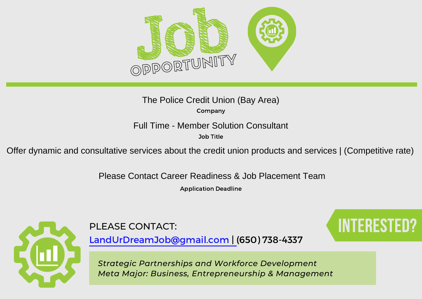

Company The Police Credit Union (Bay Area)

Full Time - Member Solution Consultant

Job Title

Offer dynamic and consultative services about the credit union products and services | (Competitive rate)<br>Please Contact Career Readiness & Job Placement Team

Application Deadline



PLEASE CONTACT: Interested: INTERESTED

LandUrDreamJob@gmail.com | (650) 738-4337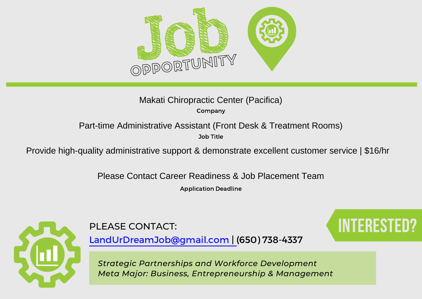

## Makati Chiropractic Center (Pacifica)

Company

Job Title

Part-time Administrative Assistant (Front Desk & Treatment Rooms)<br><sup>Job Title</sup><br>Provide high-quality administrative support & demonstrate excellent customer service | \$16/hr

Please Contact Career Readiness & Job Placement Team

Application Deadline



PLEASE CONTACT: Interested: INTERESTED?

LandUrDreamJob@gmail.com | (650) 738-4337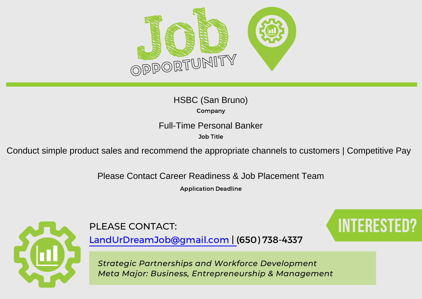

Company HSBC (San Bruno)

Full-Time Personal Banker

Job Title

Conduct simple product sales and recommend the appropriate channels to customers | Competitive Pay

Please Contact Career Readiness & Job Placement Team

Application Deadline



PLEASE CONTACT: Interested: INTERESTED?

LandUrDreamJob@gmail.com | (650) 738-4337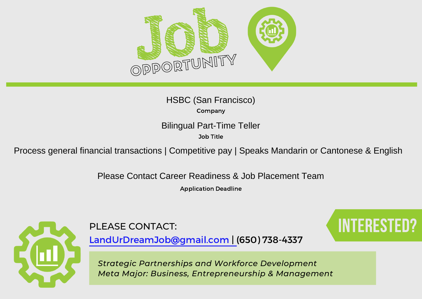

Company HSBC (San Francisco)

Job Title

Bilingual Part-Time Teller<br><sup>Job Title</sup><br>Process general financial transactions | Competitive pay | Speaks Mandarin or Cantonese & English

Please Contact Career Readiness & Job Placement Team

Application Deadline



PLEASE CONTACT: Interested: INTERESTED?

LandUrDreamJob@gmail.com | (650) 738-4337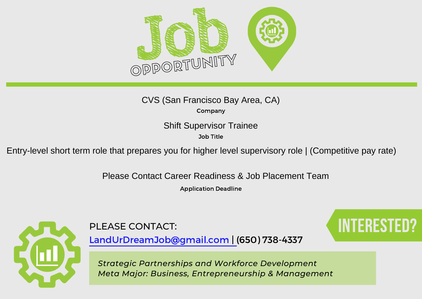

Company

Shift Supervisor Trainee

Job Title

Entry-level short term role that prepares you for higher level supervisory role | (Competitive pay rate) Please Contact Career Readiness & Job Placement Team

Application Deadline



PLEASE CONTACT: Interested: INTERESTED?

LandUrDreamJob@gmail.com | (650) 738-4337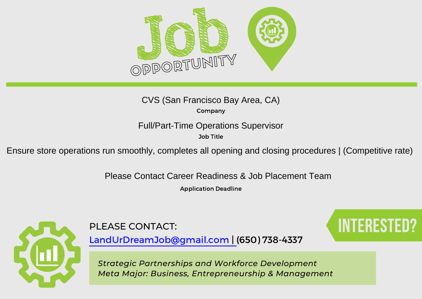

Company

Full/Part-Time Operations Supervisor

Job Title

Ensure store operations run smoothly, completes all opening and closing procedures | (Competitive rate) Please Contact Career Readiness & Job Placement Team

Application Deadline



PLEASE CONTACT: Interested: INTERESTED?

LandUrDreamJob@gmail.com | (650) 738-4337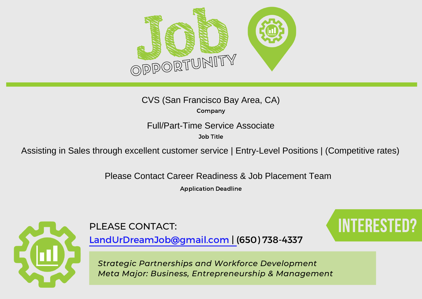

Company

Job Title

Full/Part-Time Service Associate<br>
<sup>Job Title</sup><br>
Assisting in Sales through excellent customer service | Entry-Level Positions | (Competitive rates)<br>
Please Contact Career Readiness & Job Placement Team

Application Deadline



LandUrDreamJob@gmail.com | (650) 738-4337

PLEASE CONTACT: Interested: INTERESTED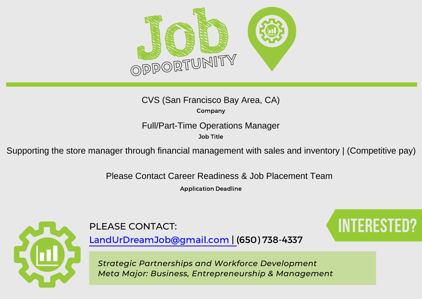

Company

Full/Part-Time Operations Manager

Job Title

Supporting the store manager through financial management with sales and inventory | (Competitive pay)<br>Please Contact Career Readiness & Job Placement Team

Application Deadline



PLEASE CONTACT: Interested: INTERESTED?

LandUrDreamJob@gmail.com | (650) 738-4337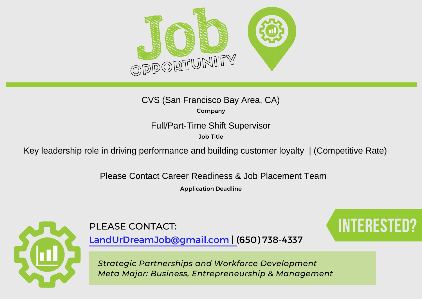

Company

Job Title

Full/Part-Time Shift Supervisor<br>
Xey leadership role in driving performance and building customer loyalty | (Competitive Rate)<br>
Please Contact Career Readiness & Job Placement Team

Application Deadline



PLEASE CONTACT: Interested: INTERESTED?

LandUrDreamJob@gmail.com | (650) 738-4337